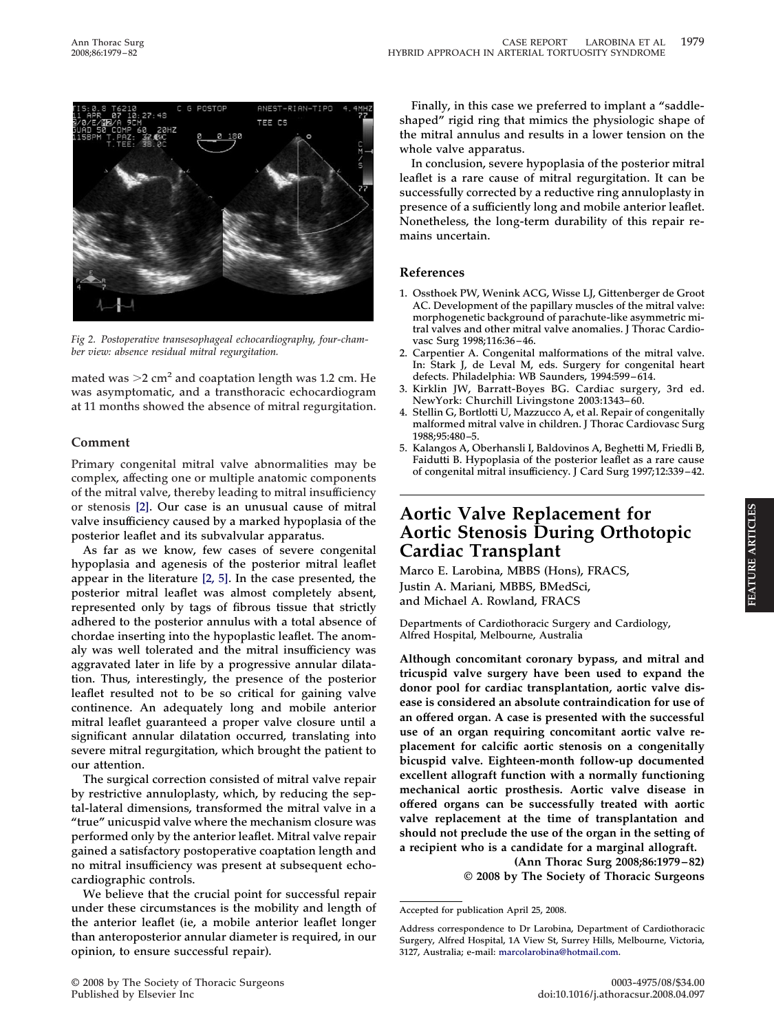

*Fig 2. Postoperative transesophageal echocardiography, four-chamber view: absence residual mitral regurgitation.*

mated was  $>$ 2 cm<sup>2</sup> and coaptation length was 1.2 cm. He **was asymptomatic, and a transthoracic echocardiogram at 11 months showed the absence of mitral regurgitation.**

## **Comment**

**Primary congenital mitral valve abnormalities may be complex, affecting one or multiple anatomic components of the mitral valve, thereby leading to mitral insufficiency or stenosis [\[2\].](#page-3-0) Our case is an unusual cause of mitral valve insufficiency caused by a marked hypoplasia of the posterior leaflet and its subvalvular apparatus.**

**As far as we know, few cases of severe congenital hypoplasia and agenesis of the posterior mitral leaflet appear in the literature [\[2, 5\].](#page-3-0) In the case presented, the posterior mitral leaflet was almost completely absent, represented only by tags of fibrous tissue that strictly adhered to the posterior annulus with a total absence of chordae inserting into the hypoplastic leaflet. The anomaly was well tolerated and the mitral insufficiency was aggravated later in life by a progressive annular dilatation. Thus, interestingly, the presence of the posterior leaflet resulted not to be so critical for gaining valve continence. An adequately long and mobile anterior mitral leaflet guaranteed a proper valve closure until a significant annular dilatation occurred, translating into severe mitral regurgitation, which brought the patient to our attention.**

**The surgical correction consisted of mitral valve repair by restrictive annuloplasty, which, by reducing the septal-lateral dimensions, transformed the mitral valve in a "true" unicuspid valve where the mechanism closure was performed only by the anterior leaflet. Mitral valve repair gained a satisfactory postoperative coaptation length and no mitral insufficiency was present at subsequent echocardiographic controls.**

**We believe that the crucial point for successful repair under these circumstances is the mobility and length of the anterior leaflet (ie, a mobile anterior leaflet longer than anteroposterior annular diameter is required, in our opinion, to ensure successful repair).**

**Finally, in this case we preferred to implant a "saddleshaped" rigid ring that mimics the physiologic shape of the mitral annulus and results in a lower tension on the whole valve apparatus.**

**In conclusion, severe hypoplasia of the posterior mitral leaflet is a rare cause of mitral regurgitation. It can be successfully corrected by a reductive ring annuloplasty in presence of a sufficiently long and mobile anterior leaflet. Nonetheless, the long-term durability of this repair remains uncertain.**

### **References**

- **1. Ossthoek PW, Wenink ACG, Wisse LJ, Gittenberger de Groot AC. Development of the papillary muscles of the mitral valve: morphogenetic background of parachute-like asymmetric mitral valves and other mitral valve anomalies. J Thorac Cardiovasc Surg 1998;116:36–46.**
- **2. Carpentier A. Congenital malformations of the mitral valve. In: Stark J, de Leval M, eds. Surgery for congenital heart defects. Philadelphia: WB Saunders, 1994:599–614.**
- **3. Kirklin JW, Barratt-Boyes BG. Cardiac surgery, 3rd ed. NewYork: Churchill Livingstone 2003:1343–60.**
- **4. Stellin G, Bortlotti U, Mazzucco A, et al. Repair of congenitally malformed mitral valve in children. J Thorac Cardiovasc Surg 1988;95:480–5.**
- **5. Kalangos A, Oberhansli I, Baldovinos A, Beghetti M, Friedli B, Faidutti B. Hypoplasia of the posterior leaflet as a rare cause of congenital mitral insufficiency. J Card Surg 1997;12:339–42.**

# **Aortic Valve Replacement for Aortic Stenosis During Orthotopic Cardiac Transplant**

**FEATURE ARTICLES**

FEATURE ARTICLES

**Marco E. Larobina, MBBS (Hons), FRACS, Justin A. Mariani, MBBS, BMedSci, and Michael A. Rowland, FRACS**

**Departments of Cardiothoracic Surgery and Cardiology, Alfred Hospital, Melbourne, Australia**

**Although concomitant coronary bypass, and mitral and tricuspid valve surgery have been used to expand the donor pool for cardiac transplantation, aortic valve disease is considered an absolute contraindication for use of an offered organ. A case is presented with the successful use of an organ requiring concomitant aortic valve replacement for calcific aortic stenosis on a congenitally bicuspid valve. Eighteen-month follow-up documented excellent allograft function with a normally functioning mechanical aortic prosthesis. Aortic valve disease in offered organs can be successfully treated with aortic valve replacement at the time of transplantation and should not preclude the use of the organ in the setting of a recipient who is a candidate for a marginal allograft.**

**(Ann Thorac Surg 2008;86:1979–82) © 2008 by The Society of Thoracic Surgeons**

**Accepted for publication April 25, 2008.**

**Address correspondence to Dr Larobina, Department of Cardiothoracic Surgery, Alfred Hospital, 1A View St, Surrey Hills, Melbourne, Victoria, 3127, Australia; e-mail: [marcolarobina@hotmail.com.](mailto:marcolarobina@hotmail.com)**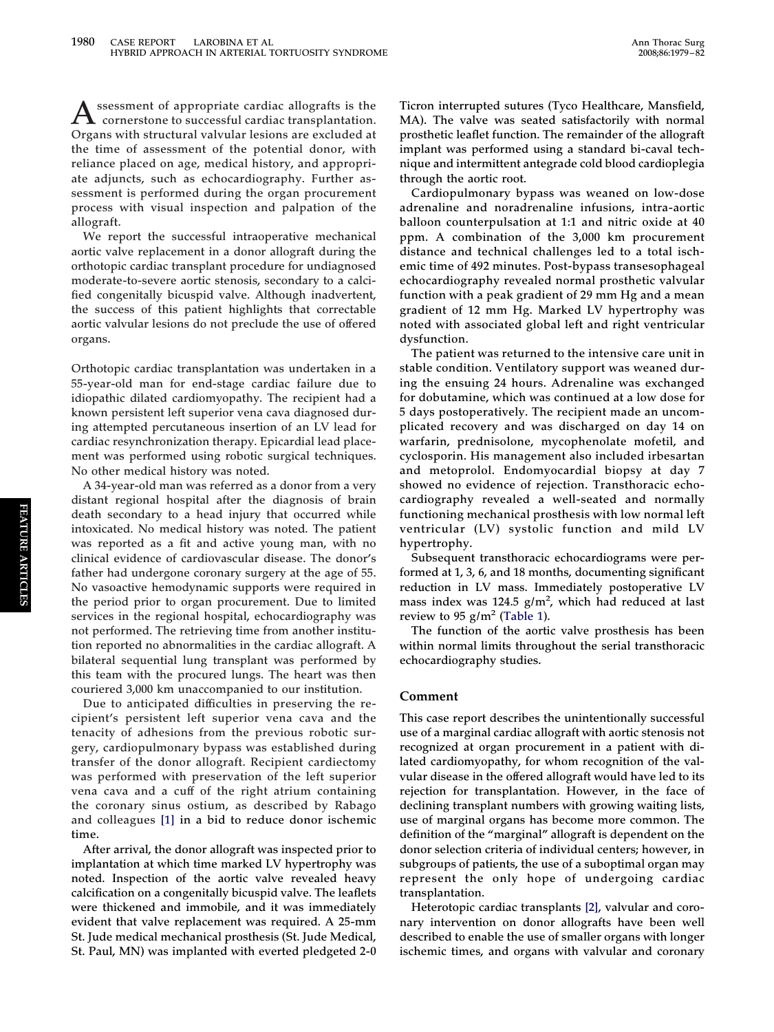**Assessment of appropriate cardiac allografts is the cornerstone to successful cardiac transplantation. Organs with structural valvular lesions are excluded at the time of assessment of the potential donor, with reliance placed on age, medical history, and appropriate adjuncts, such as echocardiography. Further assessment is performed during the organ procurement process with visual inspection and palpation of the allograft.**

**We report the successful intraoperative mechanical aortic valve replacement in a donor allograft during the orthotopic cardiac transplant procedure for undiagnosed moderate-to-severe aortic stenosis, secondary to a calcified congenitally bicuspid valve. Although inadvertent, the success of this patient highlights that correctable aortic valvular lesions do not preclude the use of offered organs.**

**Orthotopic cardiac transplantation was undertaken in a 55-year-old man for end-stage cardiac failure due to idiopathic dilated cardiomyopathy. The recipient had a known persistent left superior vena cava diagnosed during attempted percutaneous insertion of an LV lead for cardiac resynchronization therapy. Epicardial lead placement was performed using robotic surgical techniques. No other medical history was noted.**

**A 34-year-old man was referred as a donor from a very distant regional hospital after the diagnosis of brain death secondary to a head injury that occurred while intoxicated. No medical history was noted. The patient was reported as a fit and active young man, with no clinical evidence of cardiovascular disease. The donor's father had undergone coronary surgery at the age of 55. No vasoactive hemodynamic supports were required in the period prior to organ procurement. Due to limited services in the regional hospital, echocardiography was not performed. The retrieving time from another institution reported no abnormalities in the cardiac allograft. A bilateral sequential lung transplant was performed by this team with the procured lungs. The heart was then couriered 3,000 km unaccompanied to our institution.**

**Due to anticipated difficulties in preserving the recipient's persistent left superior vena cava and the tenacity of adhesions from the previous robotic surgery, cardiopulmonary bypass was established during transfer of the donor allograft. Recipient cardiectomy was performed with preservation of the left superior vena cava and a cuff of the right atrium containing the coronary sinus ostium, as described by Rabago and colleagues [\[1\]](#page-3-0) in a bid to reduce donor ischemic time.**

**After arrival, the donor allograft was inspected prior to implantation at which time marked LV hypertrophy was noted. Inspection of the aortic valve revealed heavy calcification on a congenitally bicuspid valve. The leaflets were thickened and immobile, and it was immediately evident that valve replacement was required. A 25-mm St. Jude medical mechanical prosthesis (St. Jude Medical, St. Paul, MN) was implanted with everted pledgeted 2-0**

**Ticron interrupted sutures (Tyco Healthcare, Mansfield, MA). The valve was seated satisfactorily with normal prosthetic leaflet function. The remainder of the allograft implant was performed using a standard bi-caval technique and intermittent antegrade cold blood cardioplegia through the aortic root.**

**Cardiopulmonary bypass was weaned on low-dose adrenaline and noradrenaline infusions, intra-aortic balloon counterpulsation at 1:1 and nitric oxide at 40 ppm. A combination of the 3,000 km procurement distance and technical challenges led to a total ischemic time of 492 minutes. Post-bypass transesophageal echocardiography revealed normal prosthetic valvular function with a peak gradient of 29 mm Hg and a mean gradient of 12 mm Hg. Marked LV hypertrophy was noted with associated global left and right ventricular dysfunction.**

**The patient was returned to the intensive care unit in stable condition. Ventilatory support was weaned during the ensuing 24 hours. Adrenaline was exchanged for dobutamine, which was continued at a low dose for 5 days postoperatively. The recipient made an uncomplicated recovery and was discharged on day 14 on warfarin, prednisolone, mycophenolate mofetil, and cyclosporin. His management also included irbesartan and metoprolol. Endomyocardial biopsy at day 7 showed no evidence of rejection. Transthoracic echocardiography revealed a well-seated and normally functioning mechanical prosthesis with low normal left ventricular (LV) systolic function and mild LV hypertrophy.**

**Subsequent transthoracic echocardiograms were performed at 1, 3, 6, and 18 months, documenting significant reduction in LV mass. Immediately postoperative LV mass index was 124.5 g/m<sup>2</sup> , which had reduced at last** review to 95  $g/m^2$  [\(Table 1\)](#page-2-0).

**The function of the aortic valve prosthesis has been within normal limits throughout the serial transthoracic echocardiography studies.**

#### **Comment**

**This case report describes the unintentionally successful use of a marginal cardiac allograft with aortic stenosis not recognized at organ procurement in a patient with dilated cardiomyopathy, for whom recognition of the valvular disease in the offered allograft would have led to its rejection for transplantation. However, in the face of declining transplant numbers with growing waiting lists, use of marginal organs has become more common. The definition of the "marginal" allograft is dependent on the donor selection criteria of individual centers; however, in subgroups of patients, the use of a suboptimal organ may represent the only hope of undergoing cardiac transplantation.**

**Heterotopic cardiac transplants [\[2\],](#page-3-0) valvular and coronary intervention on donor allografts have been well described to enable the use of smaller organs with longer ischemic times, and organs with valvular and coronary**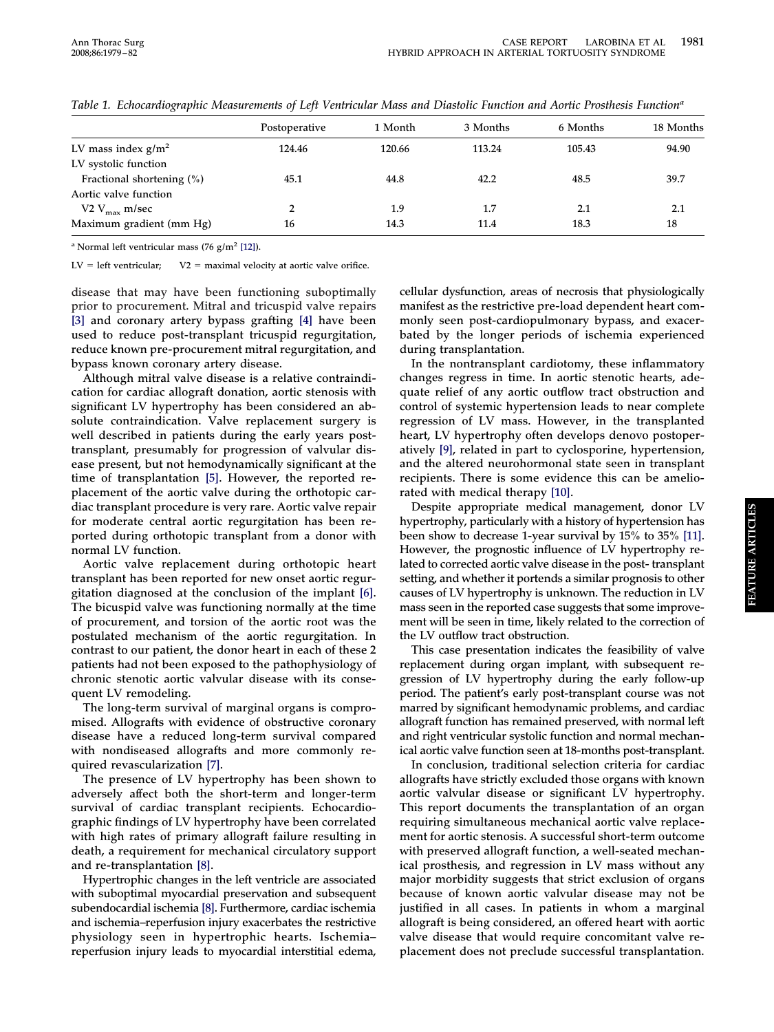|                              | Postoperative | 1 Month | 3 Months | 6 Months | 18 Months |
|------------------------------|---------------|---------|----------|----------|-----------|
| LV mass index $g/m^2$        | 124.46        | 120.66  | 113.24   | 105.43   | 94.90     |
| LV systolic function         |               |         |          |          |           |
| Fractional shortening $(\%)$ | 45.1          | 44.8    | 42.2     | 48.5     | 39.7      |
| Aortic valve function        |               |         |          |          |           |
| V2 $V_{\text{max}}$ m/sec    | 2             | 1.9     | 1.7      | 2.1      | 2.1       |
| Maximum gradient (mm Hg)     | 16            | 14.3    | 11.4     | 18.3     | 18        |

<span id="page-2-0"></span>*Table 1. Echocardiographic Measurements of Left Ventricular Mass and Diastolic Function and Aortic Prosthesis Functiona*

**<sup>a</sup> Normal left ventricular mass (76 g/m2 [\[12\]\)](#page-3-0).**

 $LV = left$  ventricular;  $V2 = maximal$  velocity at aortic valve orifice.

**disease that may have been functioning suboptimally prior to procurement. Mitral and tricuspid valve repairs [\[3\]](#page-3-0) and coronary artery bypass grafting [\[4\]](#page-3-0) have been used to reduce post-transplant tricuspid regurgitation, reduce known pre-procurement mitral regurgitation, and bypass known coronary artery disease.**

**Although mitral valve disease is a relative contraindication for cardiac allograft donation, aortic stenosis with significant LV hypertrophy has been considered an absolute contraindication. Valve replacement surgery is well described in patients during the early years posttransplant, presumably for progression of valvular disease present, but not hemodynamically significant at the time of transplantation [\[5\].](#page-3-0) However, the reported replacement of the aortic valve during the orthotopic cardiac transplant procedure is very rare. Aortic valve repair for moderate central aortic regurgitation has been reported during orthotopic transplant from a donor with normal LV function.**

**Aortic valve replacement during orthotopic heart transplant has been reported for new onset aortic regurgitation diagnosed at the conclusion of the implant [\[6\].](#page-3-0) The bicuspid valve was functioning normally at the time of procurement, and torsion of the aortic root was the postulated mechanism of the aortic regurgitation. In contrast to our patient, the donor heart in each of these 2 patients had not been exposed to the pathophysiology of chronic stenotic aortic valvular disease with its consequent LV remodeling.**

**The long-term survival of marginal organs is compromised. Allografts with evidence of obstructive coronary disease have a reduced long-term survival compared with nondiseased allografts and more commonly required revascularization [\[7\].](#page-3-0)**

**The presence of LV hypertrophy has been shown to adversely affect both the short-term and longer-term survival of cardiac transplant recipients. Echocardiographic findings of LV hypertrophy have been correlated with high rates of primary allograft failure resulting in death, a requirement for mechanical circulatory support and re-transplantation [\[8\].](#page-3-0)**

**Hypertrophic changes in the left ventricle are associated with suboptimal myocardial preservation and subsequent subendocardial ischemia [\[8\].](#page-3-0) Furthermore, cardiac ischemia and ischemia–reperfusion injury exacerbates the restrictive physiology seen in hypertrophic hearts. Ischemia– reperfusion injury leads to myocardial interstitial edema,**

**cellular dysfunction, areas of necrosis that physiologically manifest as the restrictive pre-load dependent heart commonly seen post-cardiopulmonary bypass, and exacerbated by the longer periods of ischemia experienced during transplantation.**

**In the nontransplant cardiotomy, these inflammatory changes regress in time. In aortic stenotic hearts, adequate relief of any aortic outflow tract obstruction and control of systemic hypertension leads to near complete regression of LV mass. However, in the transplanted heart, LV hypertrophy often develops denovo postoperatively [\[9\],](#page-3-0) related in part to cyclosporine, hypertension, and the altered neurohormonal state seen in transplant recipients. There is some evidence this can be ameliorated with medical therapy [\[10\].](#page-3-0)**

**Despite appropriate medical management, donor LV hypertrophy, particularly with a history of hypertension has been show to decrease 1-year survival by 15% to 35% [\[11\].](#page-3-0) However, the prognostic influence of LV hypertrophy related to corrected aortic valve disease in the post- transplant setting, and whether it portends a similar prognosis to other causes of LV hypertrophy is unknown. The reduction in LV mass seen in the reported case suggests that some improvement will be seen in time, likely related to the correction of the LV outflow tract obstruction.**

**This case presentation indicates the feasibility of valve replacement during organ implant, with subsequent regression of LV hypertrophy during the early follow-up period. The patient's early post-transplant course was not marred by significant hemodynamic problems, and cardiac allograft function has remained preserved, with normal left and right ventricular systolic function and normal mechanical aortic valve function seen at 18-months post-transplant.**

**In conclusion, traditional selection criteria for cardiac allografts have strictly excluded those organs with known aortic valvular disease or significant LV hypertrophy. This report documents the transplantation of an organ requiring simultaneous mechanical aortic valve replacement for aortic stenosis. A successful short-term outcome with preserved allograft function, a well-seated mechanical prosthesis, and regression in LV mass without any major morbidity suggests that strict exclusion of organs because of known aortic valvular disease may not be justified in all cases. In patients in whom a marginal allograft is being considered, an offered heart with aortic valve disease that would require concomitant valve replacement does not preclude successful transplantation.**